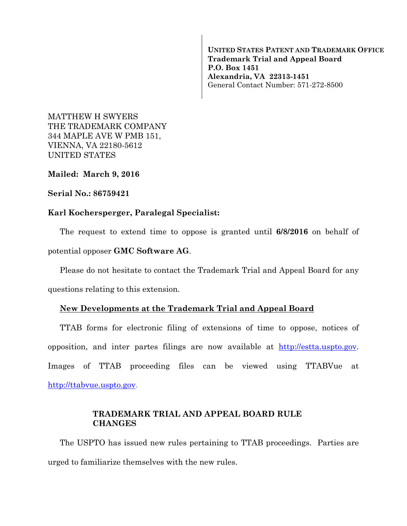**UNITED STATES PATENT AND TRADEMARK OFFICE Trademark Trial and Appeal Board P.O. Box 1451 Alexandria, VA 22313-1451**  General Contact Number: 571-272-8500

MATTHEW H SWYERS THE TRADEMARK COMPANY 344 MAPLE AVE W PMB 151, VIENNA, VA 22180-5612 UNITED STATES

**Mailed: March 9, 2016** 

## **Serial No.: 86759421**

## **Karl Kochersperger, Paralegal Specialist:**

The request to extend time to oppose is granted until **6/8/2016** on behalf of

potential opposer **GMC Software AG**.

Please do not hesitate to contact the Trademark Trial and Appeal Board for any

questions relating to this extension.

## **New Developments at the Trademark Trial and Appeal Board**

TTAB forms for electronic filing of extensions of time to oppose, notices of opposition, and inter partes filings are now available at http://estta.uspto.gov. Images of TTAB proceeding files can be viewed using TTABVue at http://ttabvue.uspto.gov.

## **TRADEMARK TRIAL AND APPEAL BOARD RULE CHANGES**

The USPTO has issued new rules pertaining to TTAB proceedings. Parties are urged to familiarize themselves with the new rules.